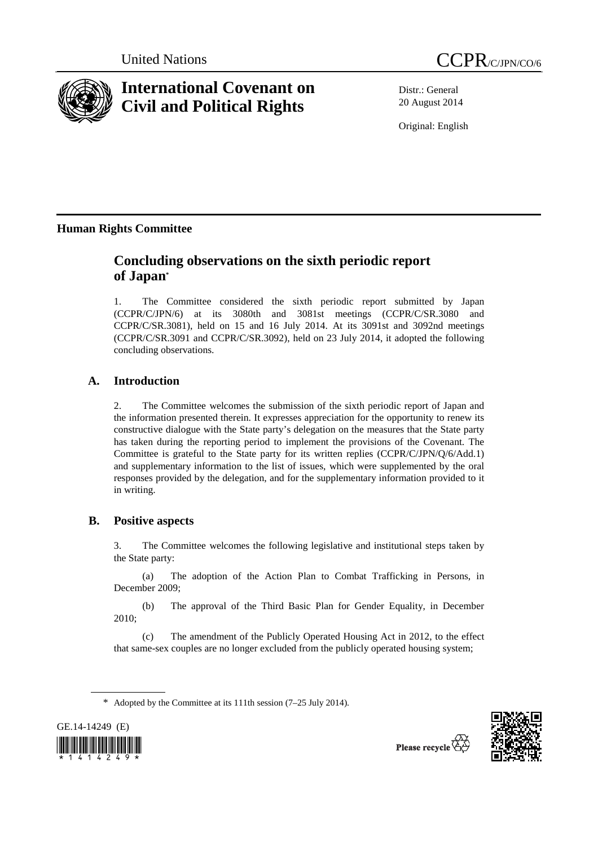



# **International Covenant on Civil and Political Rights**

Distr.: General 20 August 2014

Original: English

# **Human Rights Committee**

# **Concluding observations on the sixth periodic report of Japan\***

1. The Committee considered the sixth periodic report submitted by Japan (CCPR/C/JPN/6) at its 3080th and 3081st meetings (CCPR/C/SR.3080 and CCPR/C/SR.3081), held on 15 and 16 July 2014. At its 3091st and 3092nd meetings (CCPR/C/SR.3091 and CCPR/C/SR.3092), held on 23 July 2014, it adopted the following concluding observations.

## **A. Introduction**

2. The Committee welcomes the submission of the sixth periodic report of Japan and the information presented therein. It expresses appreciation for the opportunity to renew its constructive dialogue with the State party's delegation on the measures that the State party has taken during the reporting period to implement the provisions of the Covenant. The Committee is grateful to the State party for its written replies (CCPR/C/JPN/Q/6/Add.1) and supplementary information to the list of issues, which were supplemented by the oral responses provided by the delegation, and for the supplementary information provided to it in writing.

## **B. Positive aspects**

3. The Committee welcomes the following legislative and institutional steps taken by the State party:

(a) The adoption of the Action Plan to Combat Trafficking in Persons, in December 2009;

(b) The approval of the Third Basic Plan for Gender Equality, in December 2010;

(c) The amendment of the Publicly Operated Housing Act in 2012, to the effect that same-sex couples are no longer excluded from the publicly operated housing system;

\* Adopted by the Committee at its 111th session (7–25 July 2014).



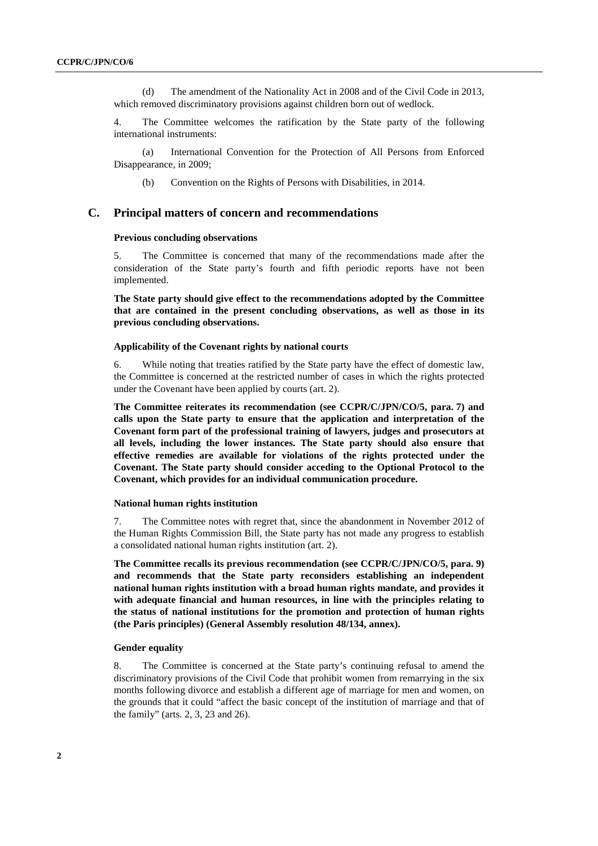(d) The amendment of the Nationality Act in 2008 and of the Civil Code in 2013, which removed discriminatory provisions against children born out of wedlock.

4. The Committee welcomes the ratification by the State party of the following international instruments:

(a) International Convention for the Protection of All Persons from Enforced Disappearance, in 2009;

(b) Convention on the Rights of Persons with Disabilities, in 2014.

#### **C. Principal matters of concern and recommendations**

#### **Previous concluding observations**

5. The Committee is concerned that many of the recommendations made after the consideration of the State party's fourth and fifth periodic reports have not been implemented.

**The State party should give effect to the recommendations adopted by the Committee that are contained in the present concluding observations, as well as those in its previous concluding observations.** 

#### **Applicability of the Covenant rights by national courts**

6. While noting that treaties ratified by the State party have the effect of domestic law, the Committee is concerned at the restricted number of cases in which the rights protected under the Covenant have been applied by courts (art. 2).

**The Committee reiterates its recommendation (see CCPR/C/JPN/CO/5, para. 7) and calls upon the State party to ensure that the application and interpretation of the Covenant form part of the professional training of lawyers, judges and prosecutors at all levels, including the lower instances. The State party should also ensure that effective remedies are available for violations of the rights protected under the Covenant. The State party should consider acceding to the Optional Protocol to the Covenant, which provides for an individual communication procedure.** 

#### **National human rights institution**

7. The Committee notes with regret that, since the abandonment in November 2012 of the Human Rights Commission Bill, the State party has not made any progress to establish a consolidated national human rights institution (art. 2).

**The Committee recalls its previous recommendation (see CCPR/C/JPN/CO/5, para. 9) and recommends that the State party reconsiders establishing an independent national human rights institution with a broad human rights mandate, and provides it with adequate financial and human resources, in line with the principles relating to the status of national institutions for the promotion and protection of human rights (the Paris principles) (General Assembly resolution 48/134, annex).** 

#### **Gender equality**

8. The Committee is concerned at the State party's continuing refusal to amend the discriminatory provisions of the Civil Code that prohibit women from remarrying in the six months following divorce and establish a different age of marriage for men and women, on the grounds that it could "affect the basic concept of the institution of marriage and that of the family" (arts. 2, 3, 23 and 26).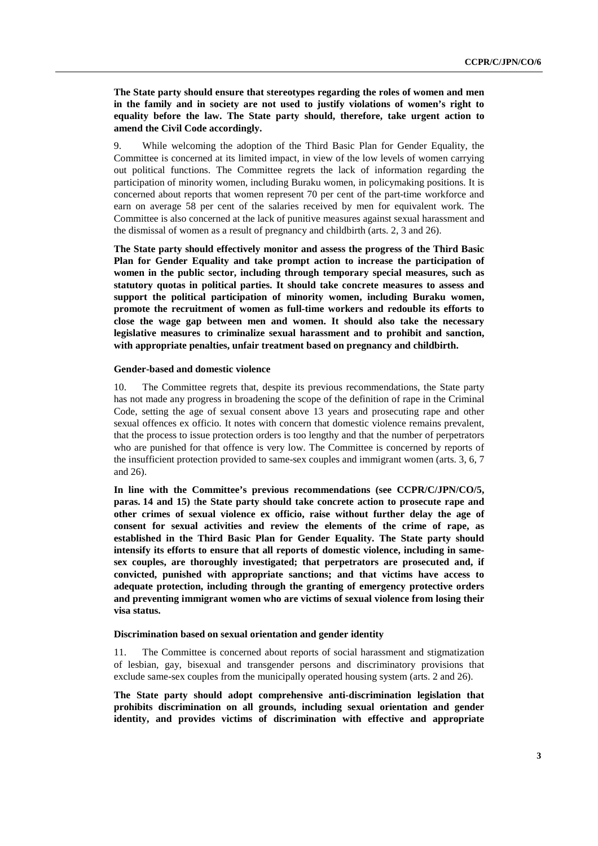**The State party should ensure that stereotypes regarding the roles of women and men in the family and in society are not used to justify violations of women's right to equality before the law. The State party should, therefore, take urgent action to amend the Civil Code accordingly.** 

9. While welcoming the adoption of the Third Basic Plan for Gender Equality, the Committee is concerned at its limited impact, in view of the low levels of women carrying out political functions. The Committee regrets the lack of information regarding the participation of minority women, including Buraku women, in policymaking positions. It is concerned about reports that women represent 70 per cent of the part-time workforce and earn on average 58 per cent of the salaries received by men for equivalent work. The Committee is also concerned at the lack of punitive measures against sexual harassment and the dismissal of women as a result of pregnancy and childbirth (arts. 2, 3 and 26).

**The State party should effectively monitor and assess the progress of the Third Basic Plan for Gender Equality and take prompt action to increase the participation of women in the public sector, including through temporary special measures, such as statutory quotas in political parties. It should take concrete measures to assess and support the political participation of minority women, including Buraku women, promote the recruitment of women as full-time workers and redouble its efforts to close the wage gap between men and women. It should also take the necessary legislative measures to criminalize sexual harassment and to prohibit and sanction, with appropriate penalties, unfair treatment based on pregnancy and childbirth.** 

#### **Gender-based and domestic violence**

10. The Committee regrets that, despite its previous recommendations, the State party has not made any progress in broadening the scope of the definition of rape in the Criminal Code, setting the age of sexual consent above 13 years and prosecuting rape and other sexual offences ex officio*.* It notes with concern that domestic violence remains prevalent, that the process to issue protection orders is too lengthy and that the number of perpetrators who are punished for that offence is very low. The Committee is concerned by reports of the insufficient protection provided to same-sex couples and immigrant women (arts. 3, 6, 7 and 26).

**In line with the Committee's previous recommendations (see CCPR/C/JPN/CO/5, paras. 14 and 15)** t**he State party should take concrete action to prosecute rape and other crimes of sexual violence ex officio, raise without further delay the age of consent for sexual activities and review the elements of the crime of rape, as established in the Third Basic Plan for Gender Equality. The State party should intensify its efforts to ensure that all reports of domestic violence, including in samesex couples, are thoroughly investigated; that perpetrators are prosecuted and, if convicted, punished with appropriate sanctions; and that victims have access to adequate protection, including through the granting of emergency protective orders and preventing immigrant women who are victims of sexual violence from losing their visa status.** 

#### **Discrimination based on sexual orientation and gender identity**

11. The Committee is concerned about reports of social harassment and stigmatization of lesbian, gay, bisexual and transgender persons and discriminatory provisions that exclude same-sex couples from the municipally operated housing system (arts. 2 and 26).

**The State party should adopt comprehensive anti-discrimination legislation that prohibits discrimination on all grounds, including sexual orientation and gender identity, and provides victims of discrimination with effective and appropriate**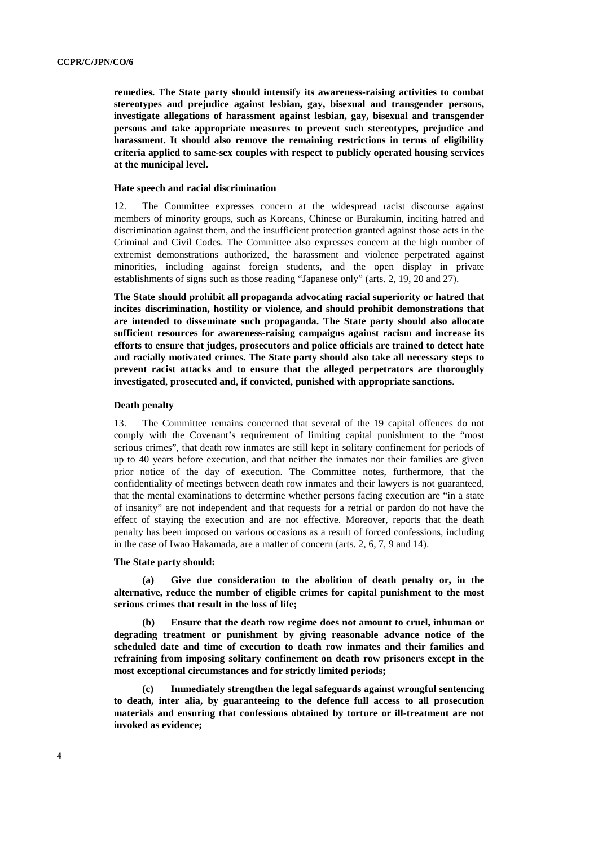**remedies. The State party should intensify its awareness-raising activities to combat stereotypes and prejudice against lesbian, gay, bisexual and transgender persons, investigate allegations of harassment against lesbian, gay, bisexual and transgender persons and take appropriate measures to prevent such stereotypes, prejudice and harassment. It should also remove the remaining restrictions in terms of eligibility criteria applied to same-sex couples with respect to publicly operated housing services at the municipal level.** 

#### **Hate speech and racial discrimination**

12. The Committee expresses concern at the widespread racist discourse against members of minority groups, such as Koreans, Chinese or Burakumin, inciting hatred and discrimination against them, and the insufficient protection granted against those acts in the Criminal and Civil Codes. The Committee also expresses concern at the high number of extremist demonstrations authorized, the harassment and violence perpetrated against minorities, including against foreign students, and the open display in private establishments of signs such as those reading "Japanese only" (arts. 2, 19, 20 and 27).

**The State should prohibit all propaganda advocating racial superiority or hatred that incites discrimination, hostility or violence, and should prohibit demonstrations that are intended to disseminate such propaganda. The State party should also allocate sufficient resources for awareness-raising campaigns against racism and increase its efforts to ensure that judges, prosecutors and police officials are trained to detect hate and racially motivated crimes. The State party should also take all necessary steps to prevent racist attacks and to ensure that the alleged perpetrators are thoroughly investigated, prosecuted and, if convicted, punished with appropriate sanctions.** 

#### **Death penalty**

13. The Committee remains concerned that several of the 19 capital offences do not comply with the Covenant's requirement of limiting capital punishment to the "most serious crimes", that death row inmates are still kept in solitary confinement for periods of up to 40 years before execution, and that neither the inmates nor their families are given prior notice of the day of execution. The Committee notes, furthermore, that the confidentiality of meetings between death row inmates and their lawyers is not guaranteed, that the mental examinations to determine whether persons facing execution are "in a state of insanity" are not independent and that requests for a retrial or pardon do not have the effect of staying the execution and are not effective. Moreover, reports that the death penalty has been imposed on various occasions as a result of forced confessions, including in the case of Iwao Hakamada, are a matter of concern (arts. 2, 6, 7, 9 and 14).

#### **The State party should:**

Give due consideration to the abolition of death penalty or, in the **alternative, reduce the number of eligible crimes for capital punishment to the most serious crimes that result in the loss of life;** 

**(b) Ensure that the death row regime does not amount to cruel, inhuman or degrading treatment or punishment by giving reasonable advance notice of the scheduled date and time of execution to death row inmates and their families and refraining from imposing solitary confinement on death row prisoners except in the most exceptional circumstances and for strictly limited periods;** 

**(c) Immediately strengthen the legal safeguards against wrongful sentencing to death, inter alia, by guaranteeing to the defence full access to all prosecution materials and ensuring that confessions obtained by torture or ill-treatment are not invoked as evidence;**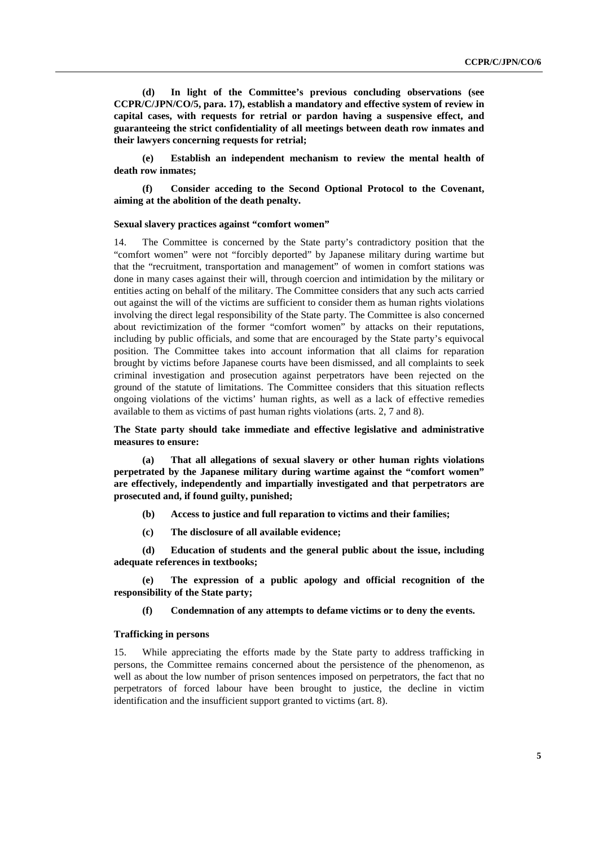**(d) In light of the Committee's previous concluding observations (see CCPR/C/JPN/CO/5, para. 17), establish a mandatory and effective system of review in capital cases, with requests for retrial or pardon having a suspensive effect, and guaranteeing the strict confidentiality of all meetings between death row inmates and their lawyers concerning requests for retrial;** 

**(e) Establish an independent mechanism to review the mental health of death row inmates;** 

**(f) Consider acceding to the Second Optional Protocol to the Covenant, aiming at the abolition of the death penalty.** 

#### **Sexual slavery practices against "comfort women"**

14. The Committee is concerned by the State party's contradictory position that the "comfort women" were not "forcibly deported" by Japanese military during wartime but that the "recruitment, transportation and management" of women in comfort stations was done in many cases against their will, through coercion and intimidation by the military or entities acting on behalf of the military. The Committee considers that any such acts carried out against the will of the victims are sufficient to consider them as human rights violations involving the direct legal responsibility of the State party. The Committee is also concerned about revictimization of the former "comfort women" by attacks on their reputations, including by public officials, and some that are encouraged by the State party's equivocal position. The Committee takes into account information that all claims for reparation brought by victims before Japanese courts have been dismissed, and all complaints to seek criminal investigation and prosecution against perpetrators have been rejected on the ground of the statute of limitations. The Committee considers that this situation reflects ongoing violations of the victims' human rights, as well as a lack of effective remedies available to them as victims of past human rights violations (arts. 2, 7 and 8).

**The State party should take immediate and effective legislative and administrative measures to ensure:** 

**(a) That all allegations of sexual slavery or other human rights violations perpetrated by the Japanese military during wartime against the "comfort women" are effectively, independently and impartially investigated and that perpetrators are prosecuted and, if found guilty, punished;** 

- **(b) Access to justice and full reparation to victims and their families;**
- **(c) The disclosure of all available evidence;**

**(d) Education of students and the general public about the issue, including adequate references in textbooks;** 

The expression of a public apology and official recognition of the **responsibility of the State party;** 

**(f) Condemnation of any attempts to defame victims or to deny the events.** 

#### **Trafficking in persons**

15. While appreciating the efforts made by the State party to address trafficking in persons, the Committee remains concerned about the persistence of the phenomenon, as well as about the low number of prison sentences imposed on perpetrators, the fact that no perpetrators of forced labour have been brought to justice, the decline in victim identification and the insufficient support granted to victims (art. 8).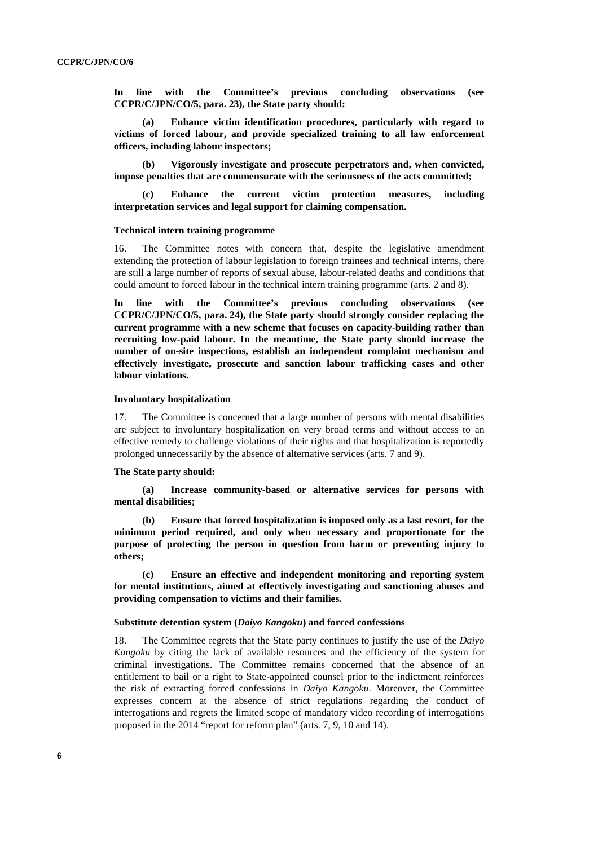**In line with the Committee's previous concluding observations (see CCPR/C/JPN/CO/5, para. 23), the State party should:** 

**(a) Enhance victim identification procedures, particularly with regard to victims of forced labour, and provide specialized training to all law enforcement officers, including labour inspectors;** 

**(b) Vigorously investigate and prosecute perpetrators and, when convicted, impose penalties that are commensurate with the seriousness of the acts committed;** 

Enhance the current victim protection measures, including **interpretation services and legal support for claiming compensation.** 

#### **Technical intern training programme**

16. The Committee notes with concern that, despite the legislative amendment extending the protection of labour legislation to foreign trainees and technical interns, there are still a large number of reports of sexual abuse, labour-related deaths and conditions that could amount to forced labour in the technical intern training programme (arts. 2 and 8).

**In line with the Committee's previous concluding observations (see CCPR/C/JPN/CO/5, para. 24), the State party should strongly consider replacing the current programme with a new scheme that focuses on capacity-building rather than recruiting low-paid labour. In the meantime, the State party should increase the number of on-site inspections, establish an independent complaint mechanism and effectively investigate, prosecute and sanction labour trafficking cases and other labour violations.** 

#### **Involuntary hospitalization**

17. The Committee is concerned that a large number of persons with mental disabilities are subject to involuntary hospitalization on very broad terms and without access to an effective remedy to challenge violations of their rights and that hospitalization is reportedly prolonged unnecessarily by the absence of alternative services (arts. 7 and 9).

#### **The State party should:**

**(a) Increase community-based or alternative services for persons with mental disabilities;** 

**(b) Ensure that forced hospitalization is imposed only as a last resort, for the minimum period required, and only when necessary and proportionate for the purpose of protecting the person in question from harm or preventing injury to others;** 

**(c) Ensure an effective and independent monitoring and reporting system for mental institutions, aimed at effectively investigating and sanctioning abuses and providing compensation to victims and their families.** 

#### **Substitute detention system (***Daiyo Kangoku***) and forced confessions**

18. The Committee regrets that the State party continues to justify the use of the *Daiyo Kangoku* by citing the lack of available resources and the efficiency of the system for criminal investigations. The Committee remains concerned that the absence of an entitlement to bail or a right to State-appointed counsel prior to the indictment reinforces the risk of extracting forced confessions in *Daiyo Kangoku*. Moreover, the Committee expresses concern at the absence of strict regulations regarding the conduct of interrogations and regrets the limited scope of mandatory video recording of interrogations proposed in the 2014 "report for reform plan" (arts. 7, 9, 10 and 14).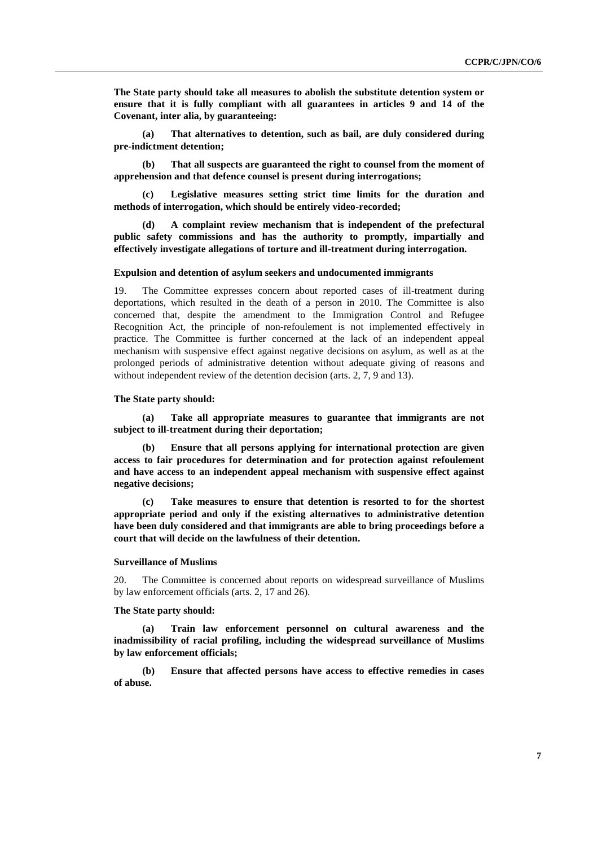**The State party should take all measures to abolish the substitute detention system or ensure that it is fully compliant with all guarantees in articles 9 and 14 of the Covenant, inter alia, by guaranteeing:** 

**(a) That alternatives to detention, such as bail, are duly considered during pre-indictment detention;**

**(b) That all suspects are guaranteed the right to counsel from the moment of apprehension and that defence counsel is present during interrogations;** 

**(c) Legislative measures setting strict time limits for the duration and methods of interrogation, which should be entirely video-recorded;** 

**(d) A complaint review mechanism that is independent of the prefectural public safety commissions and has the authority to promptly, impartially and effectively investigate allegations of torture and ill-treatment during interrogation.** 

#### **Expulsion and detention of asylum seekers and undocumented immigrants**

19. The Committee expresses concern about reported cases of ill-treatment during deportations, which resulted in the death of a person in 2010. The Committee is also concerned that, despite the amendment to the Immigration Control and Refugee Recognition Act, the principle of non-refoulement is not implemented effectively in practice. The Committee is further concerned at the lack of an independent appeal mechanism with suspensive effect against negative decisions on asylum, as well as at the prolonged periods of administrative detention without adequate giving of reasons and without independent review of the detention decision (arts. 2, 7, 9 and 13).

#### **The State party should:**

**(a) Take all appropriate measures to guarantee that immigrants are not subject to ill-treatment during their deportation;** 

**(b) Ensure that all persons applying for international protection are given access to fair procedures for determination and for protection against refoulement and have access to an independent appeal mechanism with suspensive effect against negative decisions;** 

**(c) Take measures to ensure that detention is resorted to for the shortest appropriate period and only if the existing alternatives to administrative detention have been duly considered and that immigrants are able to bring proceedings before a court that will decide on the lawfulness of their detention.** 

#### **Surveillance of Muslims**

20. The Committee is concerned about reports on widespread surveillance of Muslims by law enforcement officials (arts. 2, 17 and 26).

#### **The State party should:**

**(a) Train law enforcement personnel on cultural awareness and the inadmissibility of racial profiling, including the widespread surveillance of Muslims by law enforcement officials;** 

**(b) Ensure that affected persons have access to effective remedies in cases of abuse.**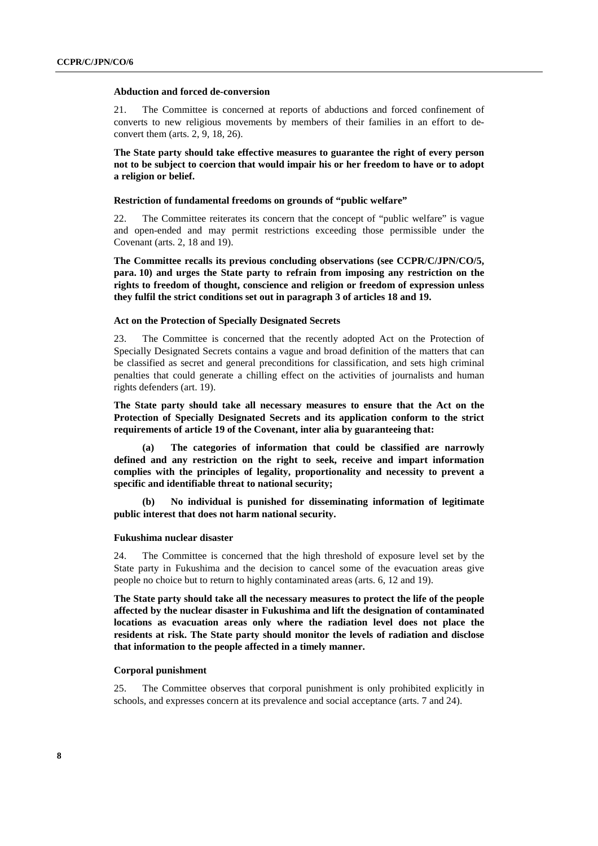#### **Abduction and forced de-conversion**

21. The Committee is concerned at reports of abductions and forced confinement of converts to new religious movements by members of their families in an effort to deconvert them (arts. 2, 9, 18, 26).

**The State party should take effective measures to guarantee the right of every person not to be subject to coercion that would impair his or her freedom to have or to adopt a religion or belief.** 

#### **Restriction of fundamental freedoms on grounds of "public welfare"**

22. The Committee reiterates its concern that the concept of "public welfare" is vague and open-ended and may permit restrictions exceeding those permissible under the Covenant (arts. 2, 18 and 19).

**The Committee recalls its previous concluding observations (see CCPR/C/JPN/CO/5, para. 10) and urges the State party to refrain from imposing any restriction on the rights to freedom of thought, conscience and religion or freedom of expression unless they fulfil the strict conditions set out in paragraph 3 of articles 18 and 19.** 

#### **Act on the Protection of Specially Designated Secrets**

23. The Committee is concerned that the recently adopted Act on the Protection of Specially Designated Secrets contains a vague and broad definition of the matters that can be classified as secret and general preconditions for classification, and sets high criminal penalties that could generate a chilling effect on the activities of journalists and human rights defenders (art. 19).

**The State party should take all necessary measures to ensure that the Act on the Protection of Specially Designated Secrets and its application conform to the strict requirements of article 19 of the Covenant, inter alia by guaranteeing that:** 

The categories of information that could be classified are narrowly **defined and any restriction on the right to seek, receive and impart information complies with the principles of legality, proportionality and necessity to prevent a specific and identifiable threat to national security;** 

**(b) No individual is punished for disseminating information of legitimate public interest that does not harm national security.** 

#### **Fukushima nuclear disaster**

24. The Committee is concerned that the high threshold of exposure level set by the State party in Fukushima and the decision to cancel some of the evacuation areas give people no choice but to return to highly contaminated areas (arts. 6, 12 and 19).

**The State party should take all the necessary measures to protect the life of the people affected by the nuclear disaster in Fukushima and lift the designation of contaminated locations as evacuation areas only where the radiation level does not place the residents at risk. The State party should monitor the levels of radiation and disclose that information to the people affected in a timely manner.** 

#### **Corporal punishment**

25. The Committee observes that corporal punishment is only prohibited explicitly in schools, and expresses concern at its prevalence and social acceptance (arts. 7 and 24).